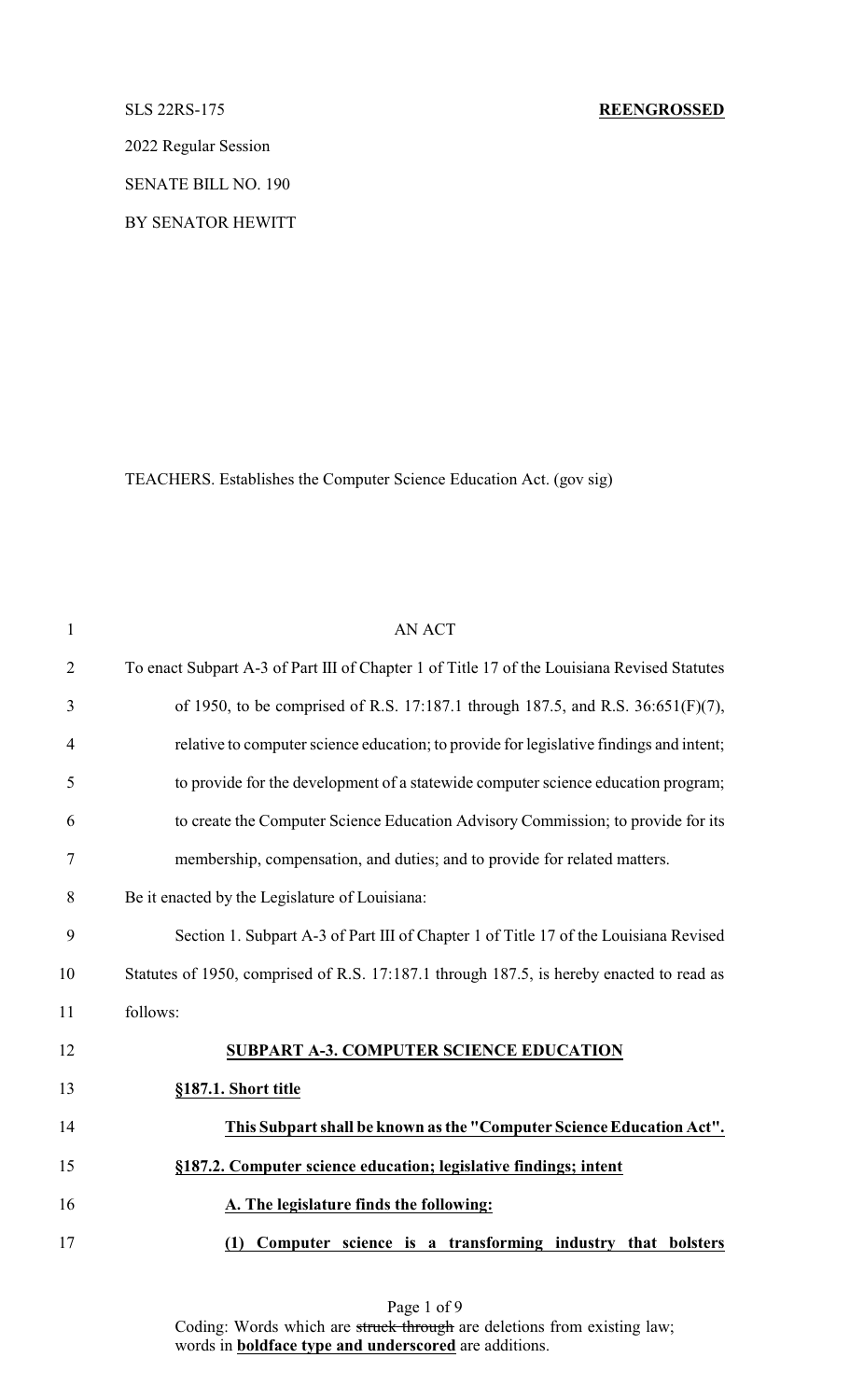2022 Regular Session

SENATE BILL NO. 190

BY SENATOR HEWITT

TEACHERS. Establishes the Computer Science Education Act. (gov sig)

| $\mathbf{1}$     | <b>AN ACT</b>                                                                               |
|------------------|---------------------------------------------------------------------------------------------|
| $\overline{2}$   | To enact Subpart A-3 of Part III of Chapter 1 of Title 17 of the Louisiana Revised Statutes |
| 3                | of 1950, to be comprised of R.S. 17:187.1 through 187.5, and R.S. 36:651(F)(7),             |
| 4                | relative to computer science education; to provide for legislative findings and intent;     |
| 5                | to provide for the development of a statewide computer science education program;           |
| 6                | to create the Computer Science Education Advisory Commission; to provide for its            |
| $\boldsymbol{7}$ | membership, compensation, and duties; and to provide for related matters.                   |
| 8                | Be it enacted by the Legislature of Louisiana:                                              |
| 9                | Section 1. Subpart A-3 of Part III of Chapter 1 of Title 17 of the Louisiana Revised        |
| 10               | Statutes of 1950, comprised of R.S. 17:187.1 through 187.5, is hereby enacted to read as    |
| 11               | follows:                                                                                    |
| 12               | <b>SUBPART A-3. COMPUTER SCIENCE EDUCATION</b>                                              |
| 13               | §187.1. Short title                                                                         |
| 14               | This Subpart shall be known as the "Computer Science Education Act".                        |
| 15               | §187.2. Computer science education; legislative findings; intent                            |
| 16               | A. The legislature finds the following:                                                     |
| 17               | Computer science is a transforming industry that bolsters<br>(1)                            |

Page 1 of 9 Coding: Words which are struck through are deletions from existing law; words in **boldface type and underscored** are additions.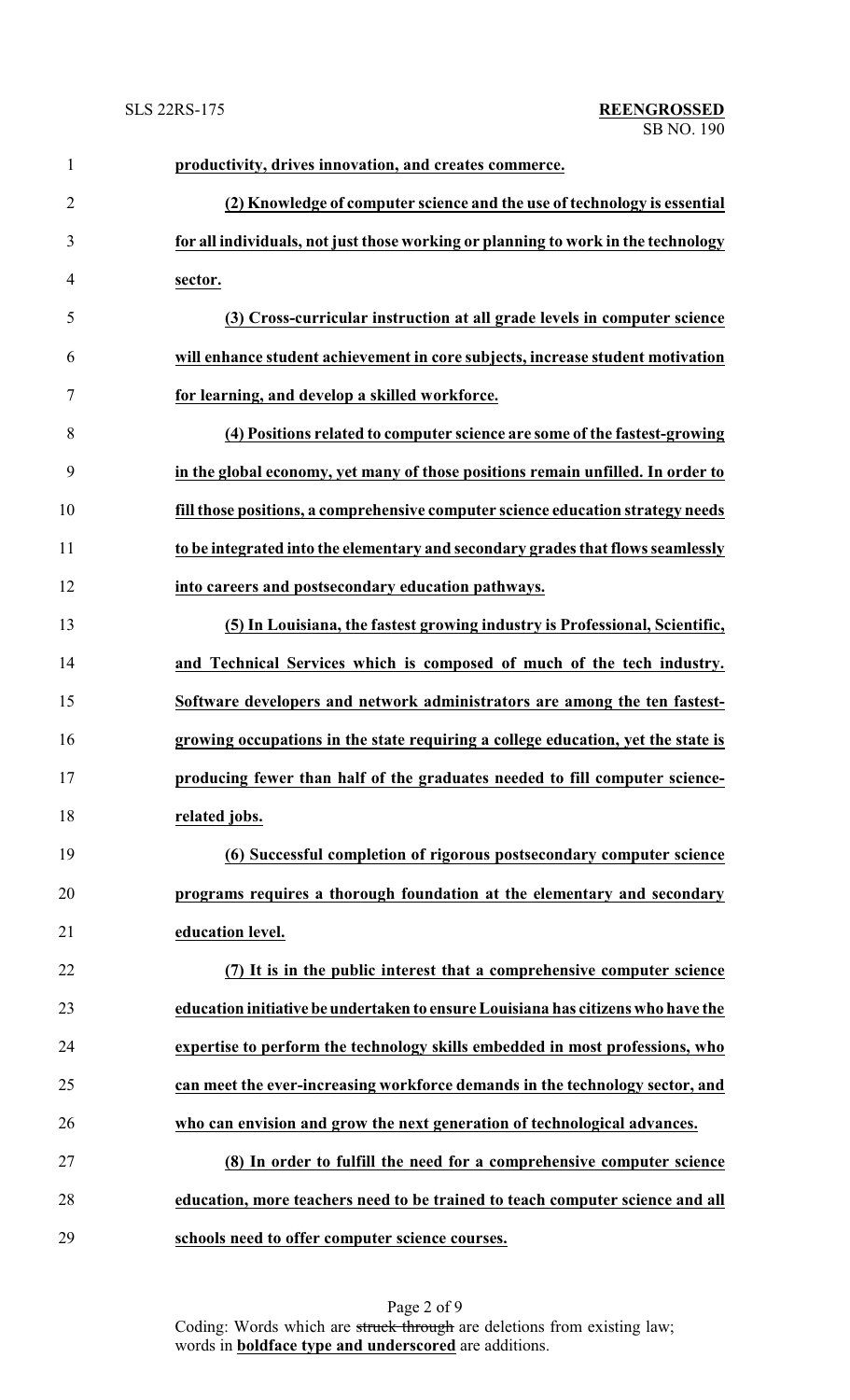| $\mathbf{1}$   | productivity, drives innovation, and creates commerce.                            |
|----------------|-----------------------------------------------------------------------------------|
| $\overline{2}$ | (2) Knowledge of computer science and the use of technology is essential          |
| 3              | for all individuals, not just those working or planning to work in the technology |
| $\overline{4}$ | sector.                                                                           |
| 5              | (3) Cross-curricular instruction at all grade levels in computer science          |
| 6              | will enhance student achievement in core subjects, increase student motivation    |
| $\tau$         | for learning, and develop a skilled workforce.                                    |
| 8              | (4) Positions related to computer science are some of the fastest-growing         |
| 9              | in the global economy, yet many of those positions remain unfilled. In order to   |
| 10             | fill those positions, a comprehensive computer science education strategy needs   |
| 11             | to be integrated into the elementary and secondary grades that flows seamlessly   |
| 12             | into careers and postsecondary education pathways.                                |
| 13             | (5) In Louisiana, the fastest growing industry is Professional, Scientific,       |
| 14             | and Technical Services which is composed of much of the tech industry.            |
| 15             | Software developers and network administrators are among the ten fastest-         |
| 16             | growing occupations in the state requiring a college education, yet the state is  |
| 17             | producing fewer than half of the graduates needed to fill computer science-       |
| 18             | related jobs.                                                                     |
| 19             | (6) Successful completion of rigorous postsecondary computer science              |
| 20             | programs requires a thorough foundation at the elementary and secondary           |
| 21             | education level.                                                                  |
| 22             | (7) It is in the public interest that a comprehensive computer science            |
| 23             | education initiative be undertaken to ensure Louisiana has citizens who have the  |
| 24             | expertise to perform the technology skills embedded in most professions, who      |
| 25             | can meet the ever-increasing workforce demands in the technology sector, and      |
| 26             | who can envision and grow the next generation of technological advances.          |
| 27             | (8) In order to fulfill the need for a comprehensive computer science             |
| 28             | education, more teachers need to be trained to teach computer science and all     |
| 29             | schools need to offer computer science courses.                                   |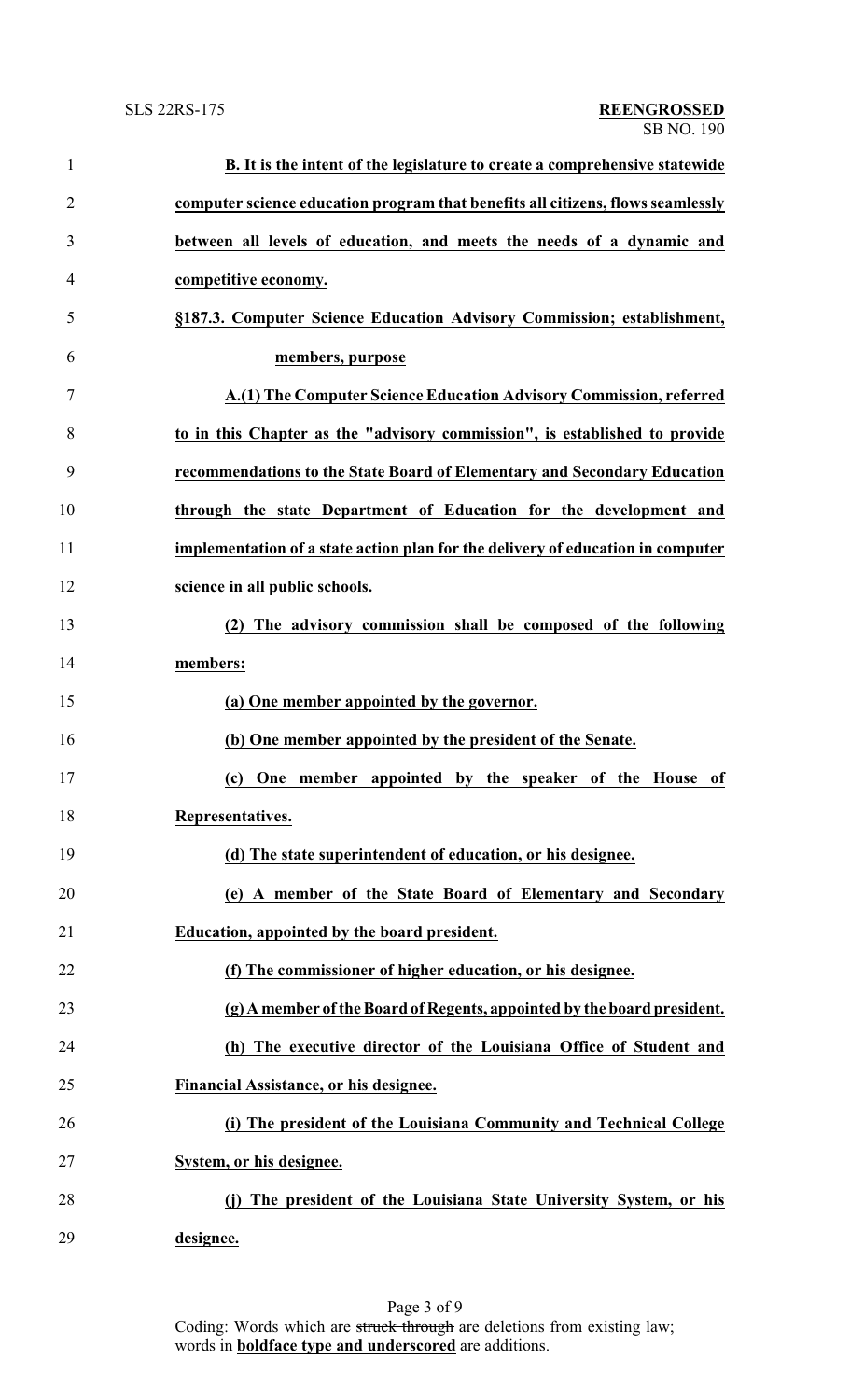| $\mathbf{1}$   | B. It is the intent of the legislature to create a comprehensive statewide      |
|----------------|---------------------------------------------------------------------------------|
| $\overline{2}$ | computer science education program that benefits all citizens, flows seamlessly |
| 3              | between all levels of education, and meets the needs of a dynamic and           |
| $\overline{4}$ | competitive economy.                                                            |
| 5              | §187.3. Computer Science Education Advisory Commission; establishment,          |
| 6              | members, purpose                                                                |
| 7              | A.(1) The Computer Science Education Advisory Commission, referred              |
| 8              | to in this Chapter as the "advisory commission", is established to provide      |
| 9              | recommendations to the State Board of Elementary and Secondary Education        |
| 10             | through the state Department of Education for the development and               |
| 11             | implementation of a state action plan for the delivery of education in computer |
| 12             | science in all public schools.                                                  |
| 13             | (2) The advisory commission shall be composed of the following                  |
| 14             | members:                                                                        |
| 15             | (a) One member appointed by the governor.                                       |
| 16             | (b) One member appointed by the president of the Senate.                        |
| 17             | One member appointed by the speaker of the House of<br>(c)                      |
| 18             | Representatives.                                                                |
| 19             | (d) The state superintendent of education, or his designee.                     |
| 20             | (e) A member of the State Board of Elementary and Secondary                     |
| 21             | Education, appointed by the board president.                                    |
| 22             | (f) The commissioner of higher education, or his designee.                      |
| 23             | (g) A member of the Board of Regents, appointed by the board president.         |
| 24             | (h) The executive director of the Louisiana Office of Student and               |
| 25             | Financial Assistance, or his designee.                                          |
| 26             | (i) The president of the Louisiana Community and Technical College              |
| 27             | System, or his designee.                                                        |
| 28             | (j) The president of the Louisiana State University System, or his              |
| 29             | designee.                                                                       |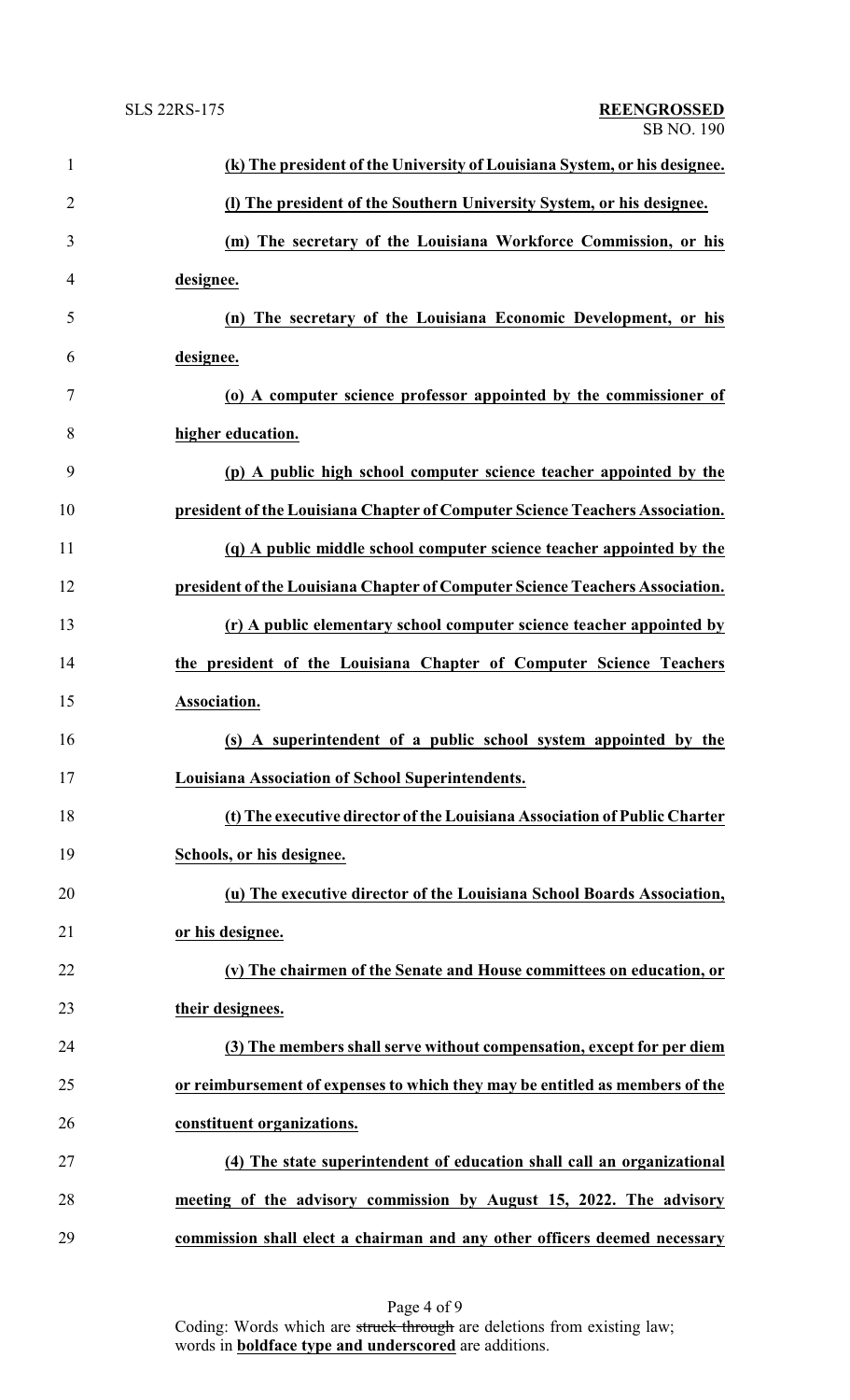| $\mathbf{1}$   | (k) The president of the University of Louisiana System, or his designee.    |
|----------------|------------------------------------------------------------------------------|
| $\overline{2}$ | (I) The president of the Southern University System, or his designee.        |
| 3              | (m) The secretary of the Louisiana Workforce Commission, or his              |
| 4              | designee.                                                                    |
| 5              | (n) The secretary of the Louisiana Economic Development, or his              |
| 6              | designee.                                                                    |
| 7              | (o) A computer science professor appointed by the commissioner of            |
| 8              | higher education.                                                            |
| 9              | (p) A public high school computer science teacher appointed by the           |
| 10             | president of the Louisiana Chapter of Computer Science Teachers Association. |
| 11             | (q) A public middle school computer science teacher appointed by the         |
| 12             | president of the Louisiana Chapter of Computer Science Teachers Association. |
| 13             | (r) A public elementary school computer science teacher appointed by         |
| 14             | the president of the Louisiana Chapter of Computer Science Teachers          |
| 15             | Association.                                                                 |
| 16             | (s) A superintendent of a public school system appointed by the              |
| 17             | Louisiana Association of School Superintendents.                             |
| 18             | (t) The executive director of the Louisiana Association of Public Charter    |
| 19             | Schools, or his designee.                                                    |
| 20             | (u) The executive director of the Louisiana School Boards Association,       |
| 21             | or his designee.                                                             |
| 22             | (v) The chairmen of the Senate and House committees on education, or         |
| 23             | their designees.                                                             |
| 24             | (3) The members shall serve without compensation, except for per diem        |
| 25             | or reimbursement of expenses to which they may be entitled as members of the |
| 26             | constituent organizations.                                                   |
| 27             | (4) The state superintendent of education shall call an organizational       |
| 28             | meeting of the advisory commission by August 15, 2022. The advisory          |
| 29             | commission shall elect a chairman and any other officers deemed necessary    |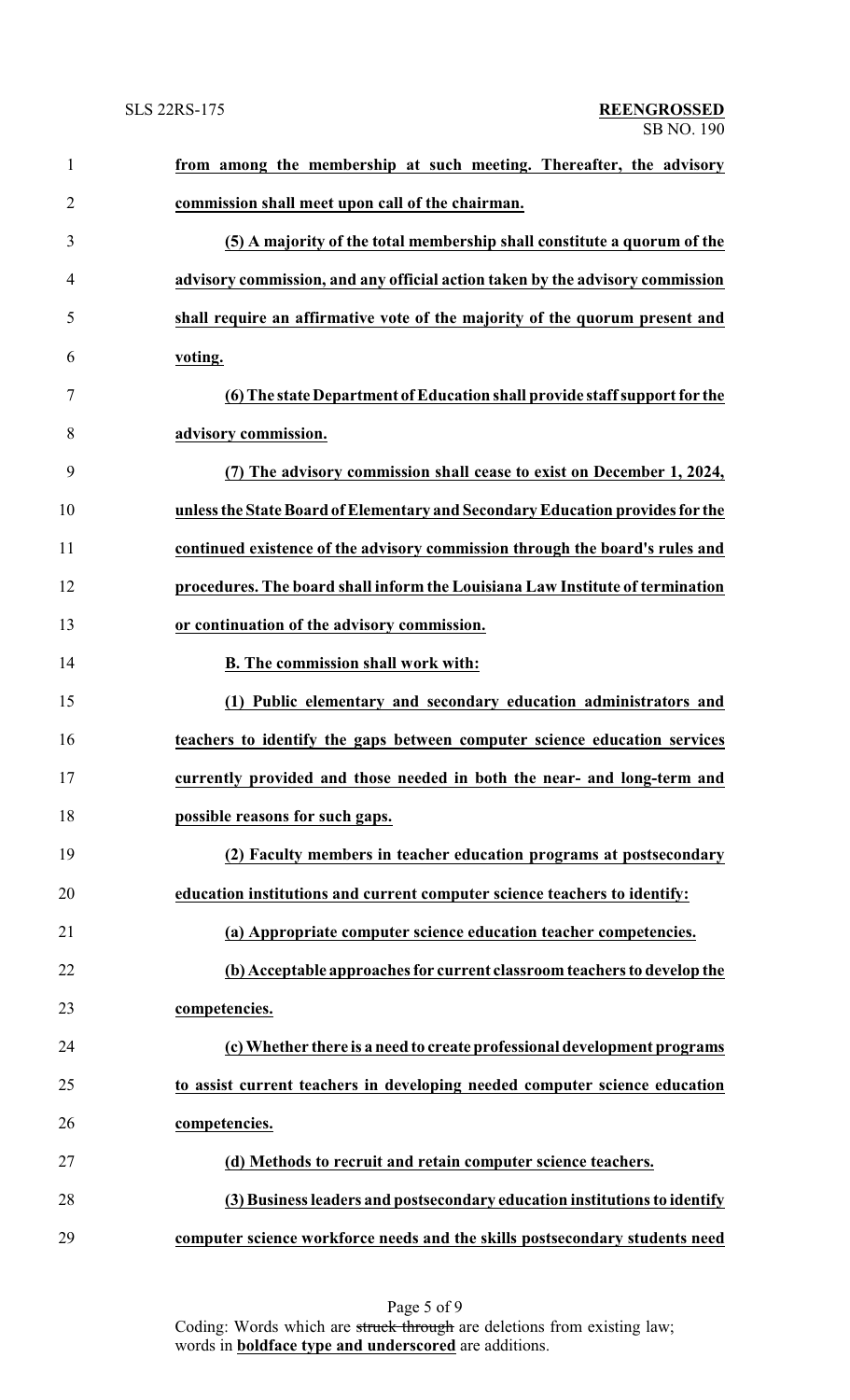| $\mathbf{1}$   | from among the membership at such meeting. Thereafter, the advisory           |
|----------------|-------------------------------------------------------------------------------|
| $\overline{2}$ | commission shall meet upon call of the chairman.                              |
| 3              | (5) A majority of the total membership shall constitute a quorum of the       |
| $\overline{4}$ | advisory commission, and any official action taken by the advisory commission |
| 5              | shall require an affirmative vote of the majority of the quorum present and   |
| 6              | voting.                                                                       |
| 7              | (6) The state Department of Education shall provide staff support for the     |
| 8              | advisory commission.                                                          |
| 9              | (7) The advisory commission shall cease to exist on December 1, 2024,         |
| 10             | unless the State Board of Elementary and Secondary Education provides for the |
| 11             | continued existence of the advisory commission through the board's rules and  |
| 12             | procedures. The board shall inform the Louisiana Law Institute of termination |
| 13             | or continuation of the advisory commission.                                   |
| 14             | B. The commission shall work with:                                            |
| 15             | (1) Public elementary and secondary education administrators and              |
| 16             | teachers to identify the gaps between computer science education services     |
| 17             | currently provided and those needed in both the near- and long-term and       |
| 18             | possible reasons for such gaps.                                               |
| 19             | (2) Faculty members in teacher education programs at postsecondary            |
| 20             | education institutions and current computer science teachers to identify:     |
| 21             | (a) Appropriate computer science education teacher competencies.              |
| 22             | (b) Acceptable approaches for current classroom teachers to develop the       |
| 23             | competencies.                                                                 |
| 24             | (c) Whether there is a need to create professional development programs       |
| 25             | to assist current teachers in developing needed computer science education    |
| 26             | competencies.                                                                 |
| 27             | (d) Methods to recruit and retain computer science teachers.                  |
| 28             | (3) Business leaders and postsecondary education institutions to identify     |
| 29             | computer science workforce needs and the skills postsecondary students need   |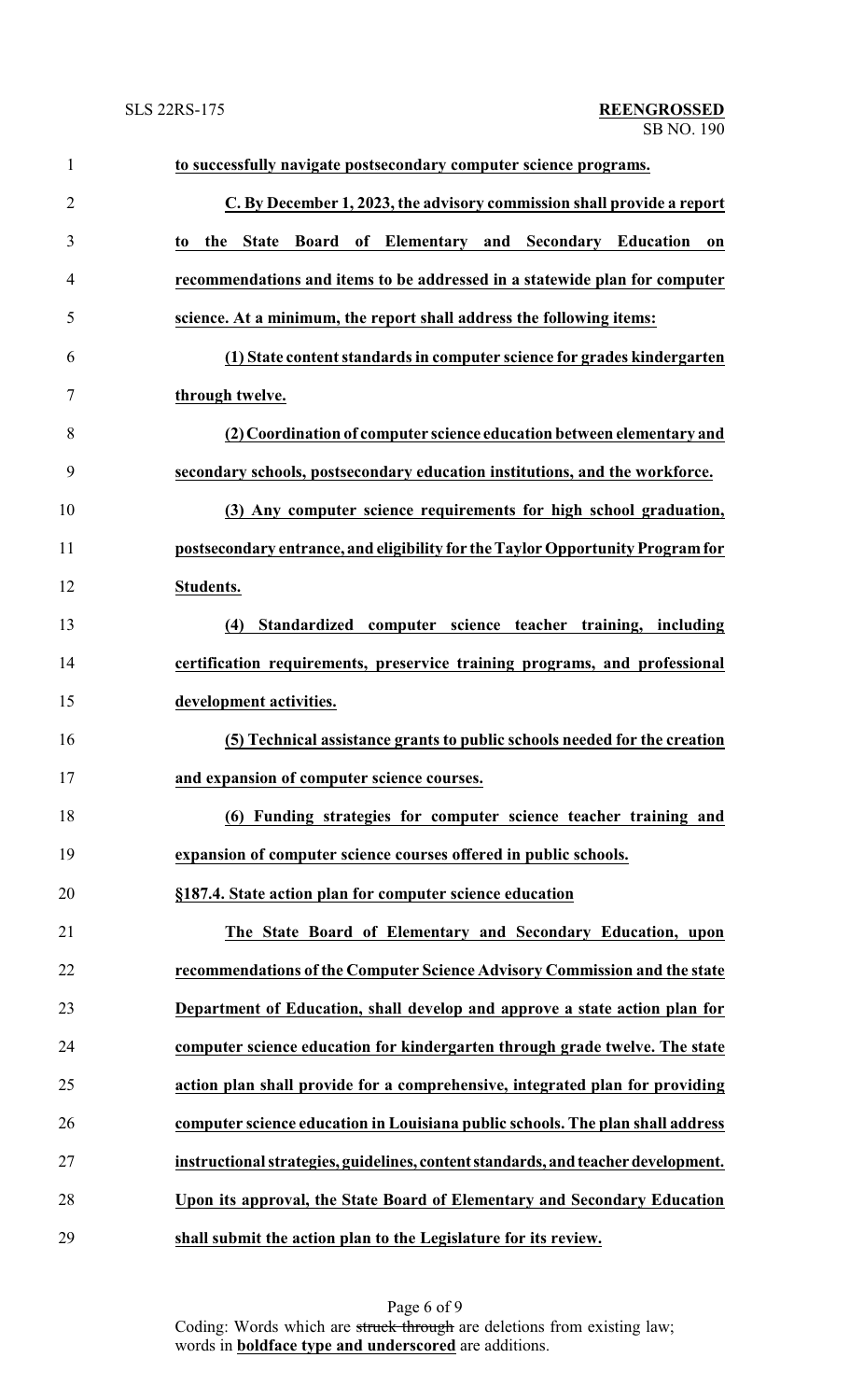| $\mathbf{1}$   | to successfully navigate postsecondary computer science programs.                 |
|----------------|-----------------------------------------------------------------------------------|
| $\overline{2}$ | C. By December 1, 2023, the advisory commission shall provide a report            |
| 3              | Board of Elementary and Secondary Education<br>the<br><b>State</b><br>on<br>to    |
| 4              | recommendations and items to be addressed in a statewide plan for computer        |
| 5              | science. At a minimum, the report shall address the following items:              |
| 6              | (1) State content standards in computer science for grades kindergarten           |
| 7              | through twelve.                                                                   |
| 8              | (2) Coordination of computer science education between elementary and             |
| 9              | secondary schools, postsecondary education institutions, and the workforce.       |
| 10             | (3) Any computer science requirements for high school graduation,                 |
| 11             | postsecondary entrance, and eligibility for the Taylor Opportunity Program for    |
| 12             | <b>Students.</b>                                                                  |
| 13             | Standardized computer science teacher training, including<br>(4)                  |
| 14             | certification requirements, preservice training programs, and professional        |
| 15             | development activities.                                                           |
| 16             | (5) Technical assistance grants to public schools needed for the creation         |
| 17             | and expansion of computer science courses.                                        |
| 18             | (6) Funding strategies for computer science teacher training and                  |
| 19             | expansion of computer science courses offered in public schools.                  |
| 20             | §187.4. State action plan for computer science education                          |
| 21             | The State Board of Elementary and Secondary Education, upon                       |
| 22             | recommendations of the Computer Science Advisory Commission and the state         |
| 23             | Department of Education, shall develop and approve a state action plan for        |
| 24             | computer science education for kindergarten through grade twelve. The state       |
| 25             | action plan shall provide for a comprehensive, integrated plan for providing      |
| 26             | computer science education in Louisiana public schools. The plan shall address    |
| 27             | instructional strategies, guidelines, content standards, and teacher development. |
| 28             | Upon its approval, the State Board of Elementary and Secondary Education          |
| 29             | shall submit the action plan to the Legislature for its review.                   |

Page 6 of 9 Coding: Words which are struck through are deletions from existing law; words in **boldface type and underscored** are additions.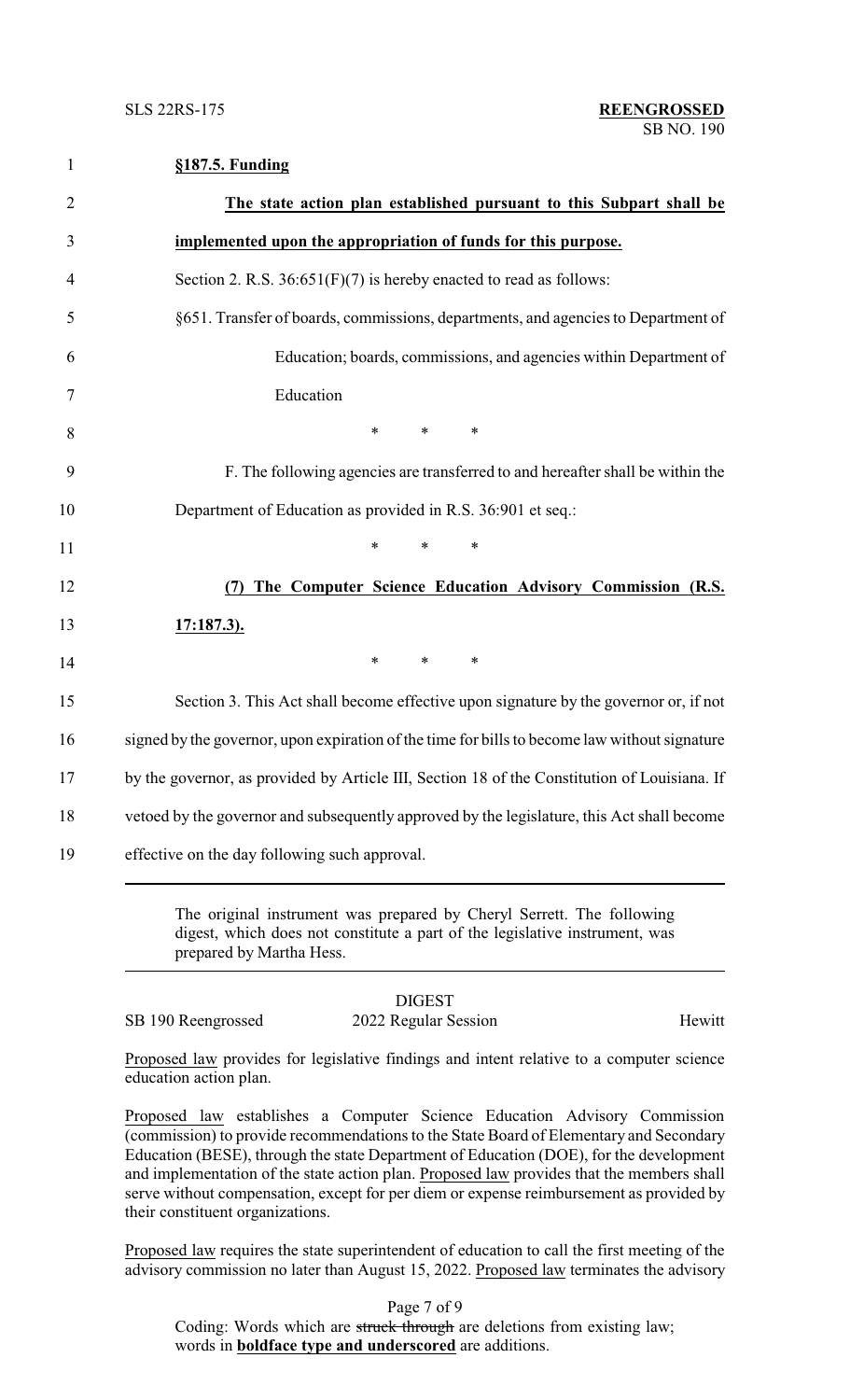1 **§187.5. Funding**

| $810/3$ . Funding                                                                             |
|-----------------------------------------------------------------------------------------------|
| The state action plan established pursuant to this Subpart shall be                           |
| implemented upon the appropriation of funds for this purpose.                                 |
| Section 2. R.S. $36:651(F)(7)$ is hereby enacted to read as follows:                          |
| §651. Transfer of boards, commissions, departments, and agencies to Department of             |
| Education; boards, commissions, and agencies within Department of                             |
| Education                                                                                     |
| $*$ $*$<br>*<br>$\ast$                                                                        |
| F. The following agencies are transferred to and hereafter shall be within the                |
| Department of Education as provided in R.S. 36:901 et seq.:                                   |
| $\ast$<br>$\ast$<br>$\ast$                                                                    |
| The Computer Science Education Advisory Commission (R.S.<br>(7)                               |
| <u>17:187.3).</u>                                                                             |
| $*$ $*$<br>$\ast$<br>$\ast$                                                                   |
| Section 3. This Act shall become effective upon signature by the governor or, if not          |
| signed by the governor, upon expiration of the time for bills to become law without signature |
| by the governor, as provided by Article III, Section 18 of the Constitution of Louisiana. If  |
| vetoed by the governor and subsequently approved by the legislature, this Act shall become    |
| effective on the day following such approval.                                                 |

The original instrument was prepared by Cheryl Serrett. The following digest, which does not constitute a part of the legislative instrument, was prepared by Martha Hess.

SB 190 Reengrossed 2022 Regular Session Hewitt

## DIGEST

Proposed law provides for legislative findings and intent relative to a computer science education action plan.

Proposed law establishes a Computer Science Education Advisory Commission (commission) to provide recommendations to the State Board of Elementary and Secondary Education (BESE), through the state Department of Education (DOE), for the development and implementation of the state action plan. Proposed law provides that the members shall serve without compensation, except for per diem or expense reimbursement as provided by their constituent organizations.

Proposed law requires the state superintendent of education to call the first meeting of the advisory commission no later than August 15, 2022. Proposed law terminates the advisory

Page 7 of 9

Coding: Words which are struck through are deletions from existing law; words in **boldface type and underscored** are additions.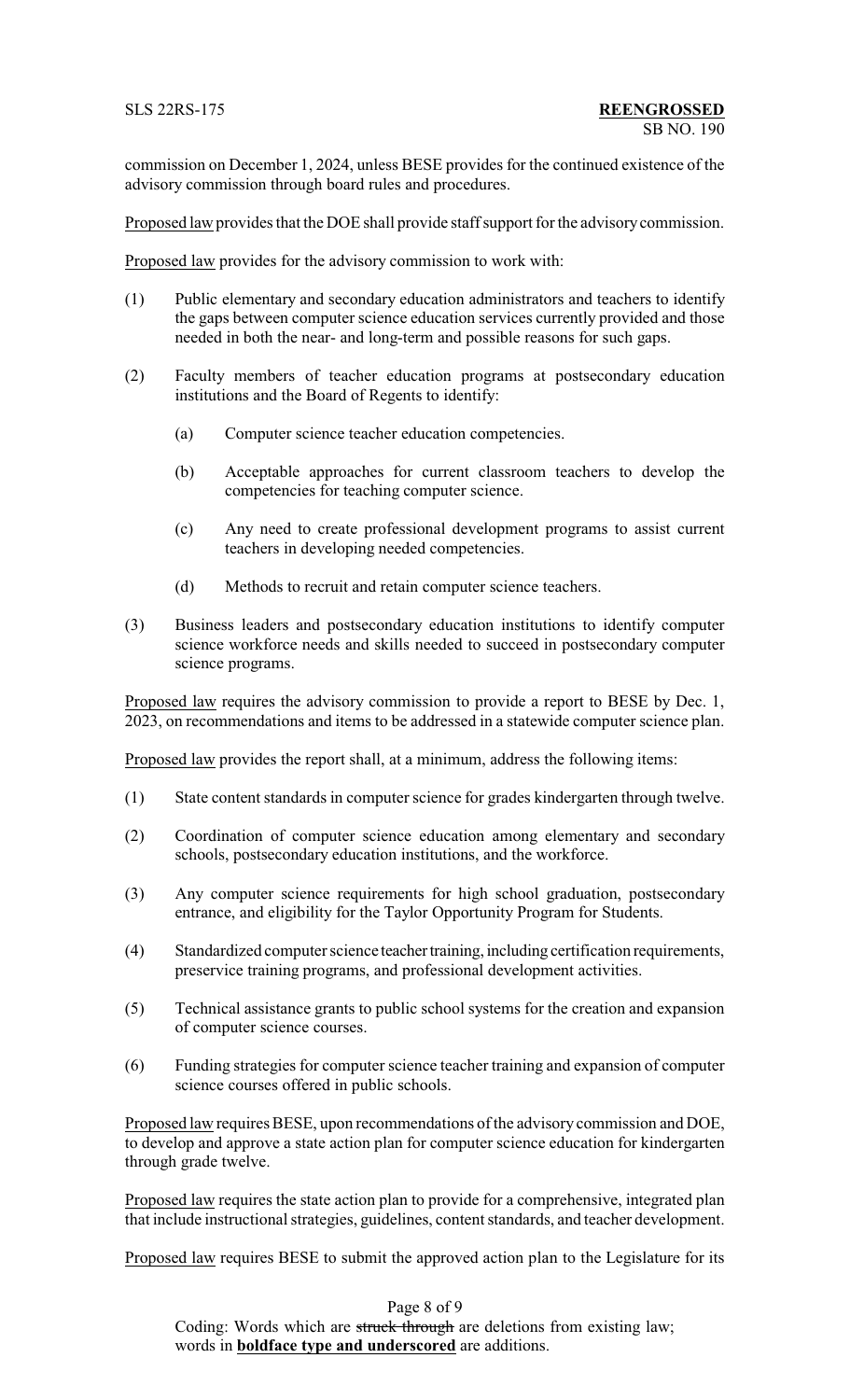commission on December 1, 2024, unless BESE provides for the continued existence of the advisory commission through board rules and procedures.

Proposed law provides that the DOE shall provide staff support for the advisorycommission.

Proposed law provides for the advisory commission to work with:

- (1) Public elementary and secondary education administrators and teachers to identify the gaps between computer science education services currently provided and those needed in both the near- and long-term and possible reasons for such gaps.
- (2) Faculty members of teacher education programs at postsecondary education institutions and the Board of Regents to identify:
	- (a) Computer science teacher education competencies.
	- (b) Acceptable approaches for current classroom teachers to develop the competencies for teaching computer science.
	- (c) Any need to create professional development programs to assist current teachers in developing needed competencies.
	- (d) Methods to recruit and retain computer science teachers.
- (3) Business leaders and postsecondary education institutions to identify computer science workforce needs and skills needed to succeed in postsecondary computer science programs.

Proposed law requires the advisory commission to provide a report to BESE by Dec. 1, 2023, on recommendations and items to be addressed in a statewide computer science plan.

Proposed law provides the report shall, at a minimum, address the following items:

- (1) State content standards in computer science for grades kindergarten through twelve.
- (2) Coordination of computer science education among elementary and secondary schools, postsecondary education institutions, and the workforce.
- (3) Any computer science requirements for high school graduation, postsecondary entrance, and eligibility for the Taylor Opportunity Program for Students.
- (4) Standardized computer science teacher training, including certification requirements, preservice training programs, and professional development activities.
- (5) Technical assistance grants to public school systems for the creation and expansion of computer science courses.
- (6) Funding strategies for computer science teacher training and expansion of computer science courses offered in public schools.

Proposed law requires BESE, upon recommendations of the advisory commission and DOE, to develop and approve a state action plan for computer science education for kindergarten through grade twelve.

Proposed law requires the state action plan to provide for a comprehensive, integrated plan that include instructional strategies, guidelines, content standards, and teacher development.

Proposed law requires BESE to submit the approved action plan to the Legislature for its

Page 8 of 9 Coding: Words which are struck through are deletions from existing law; words in **boldface type and underscored** are additions.